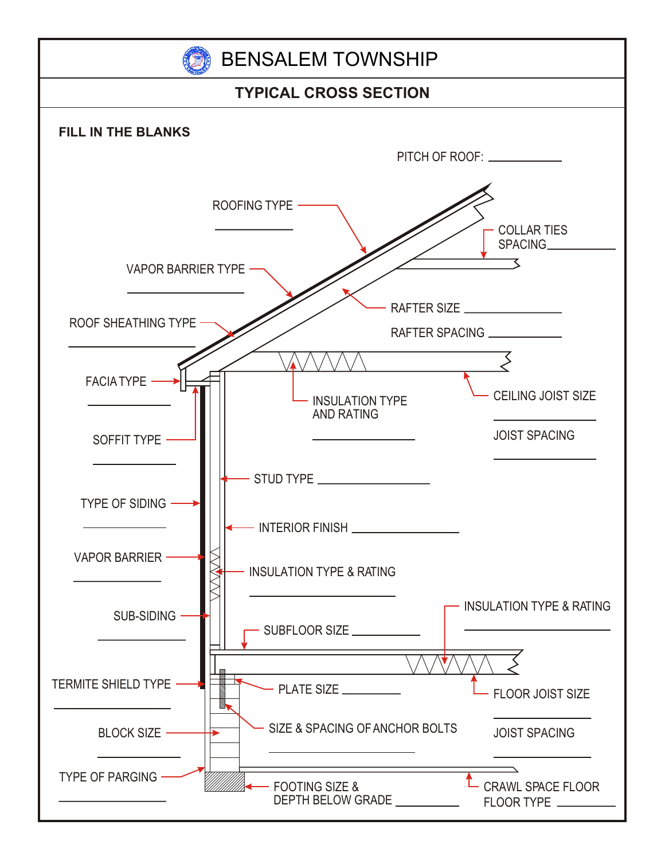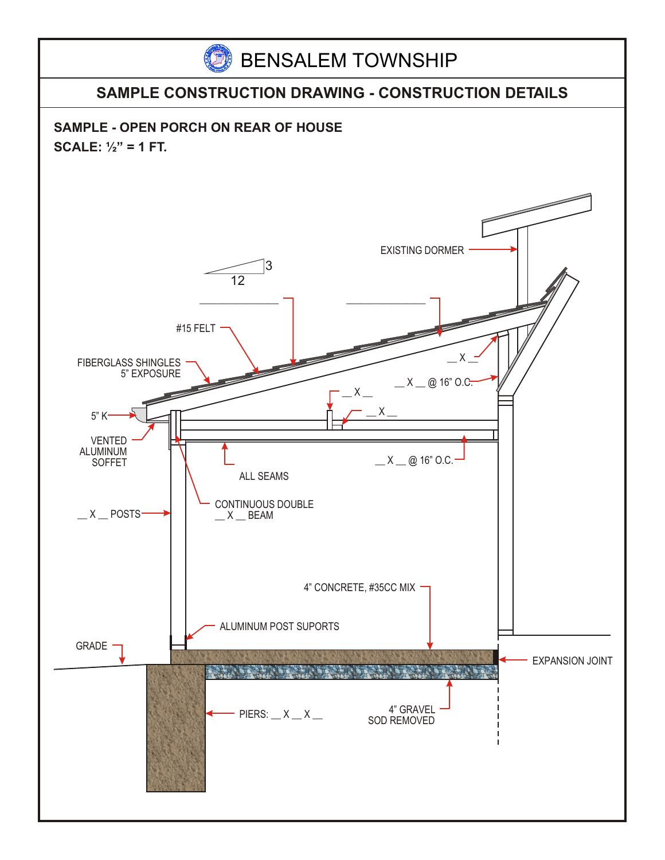

## **SAMPLE CONSTRUCTION DRAWING - CONSTRUCTION DETAILS**

**SAMPLE - OPEN PORCH ON REAR OF HOUSE SCALE: ½" = 1 FT.**